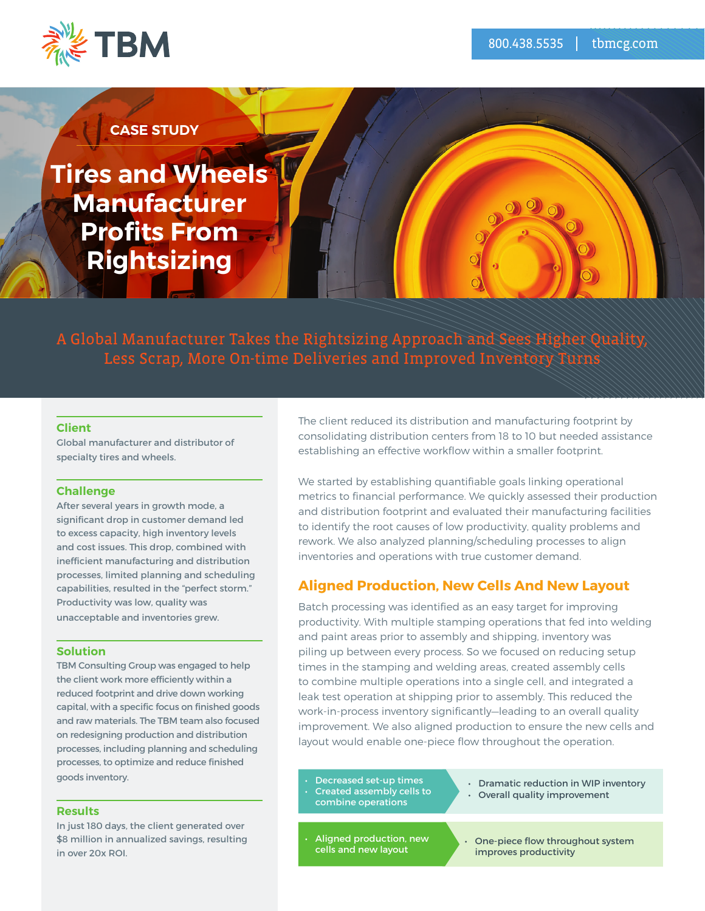

# **CASE STUDY**

**Tires and Wheels Manufacturer Profits From Rightsizing**

A Global Manufacturer Takes the Rightsizing Approach and Sees Higher Quality, Less Scrap, More On-time Deliveries and Improved Inventory Turns

#### **Client**

Global manufacturer and distributor of specialty tires and wheels.

#### **Challenge**

After several years in growth mode, a significant drop in customer demand led to excess capacity, high inventory levels and cost issues. This drop, combined with inefficient manufacturing and distribution processes, limited planning and scheduling capabilities, resulted in the "perfect storm." Productivity was low, quality was unacceptable and inventories grew.

### **Solution**

TBM Consulting Group was engaged to help the client work more efficiently within a reduced footprint and drive down working capital, with a specific focus on finished goods and raw materials. The TBM team also focused on redesigning production and distribution processes, including planning and scheduling processes, to optimize and reduce finished goods inventory.

#### **Results**

In just 180 days, the client generated over \$8 million in annualized savings, resulting in over 20x ROI.

The client reduced its distribution and manufacturing footprint by consolidating distribution centers from 18 to 10 but needed assistance establishing an effective workflow within a smaller footprint.

We started by establishing quantifiable goals linking operational metrics to financial performance. We quickly assessed their production and distribution footprint and evaluated their manufacturing facilities to identify the root causes of low productivity, quality problems and rework. We also analyzed planning/scheduling processes to align inventories and operations with true customer demand.

## **Aligned Production, New Cells And New Layout**

Batch processing was identified as an easy target for improving productivity. With multiple stamping operations that fed into welding and paint areas prior to assembly and shipping, inventory was piling up between every process. So we focused on reducing setup times in the stamping and welding areas, created assembly cells to combine multiple operations into a single cell, and integrated a leak test operation at shipping prior to assembly. This reduced the work-in-process inventory significantly—leading to an overall quality improvement. We also aligned production to ensure the new cells and layout would enable one-piece flow throughout the operation.

- Decreased set-up times • Created assembly cells to
- combine operations
- Dramatic reduction in WIP inventory • Overall quality improvement
- Aligned production, new cells and new layout

• One-piece flow throughout system improves productivity